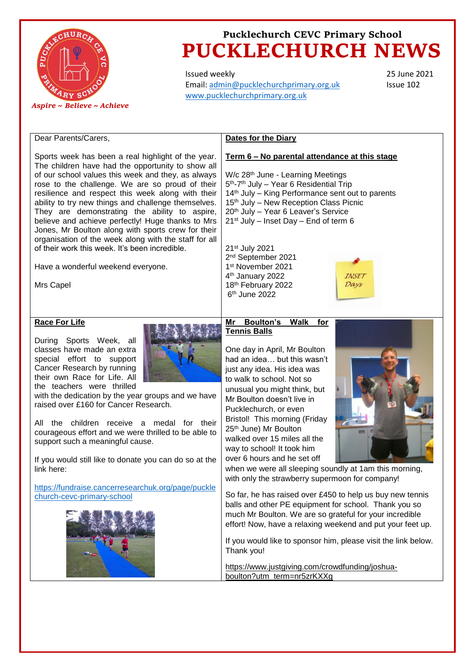

Issued weekly Email: [admin@pucklechurchprimary.org.uk](mailto:admin@pucklechurchprimary.org.uk) [www.pucklechurchprimary.org.uk](http://www.pucklechurchprimary.org.uk/)

25 June 2021 Issue 102

| Dear Parents/Carers,                                                                                                                                                                                                                                                                                                                                                                                                                                                                                                                                                                                                                                   | <b>Dates for the Diary</b>                                                                                                                                                                                                                                                                                                                                                                                                                                                                                                                                                                                                                                                                                                                                                                                                                                                                                                                                                |
|--------------------------------------------------------------------------------------------------------------------------------------------------------------------------------------------------------------------------------------------------------------------------------------------------------------------------------------------------------------------------------------------------------------------------------------------------------------------------------------------------------------------------------------------------------------------------------------------------------------------------------------------------------|---------------------------------------------------------------------------------------------------------------------------------------------------------------------------------------------------------------------------------------------------------------------------------------------------------------------------------------------------------------------------------------------------------------------------------------------------------------------------------------------------------------------------------------------------------------------------------------------------------------------------------------------------------------------------------------------------------------------------------------------------------------------------------------------------------------------------------------------------------------------------------------------------------------------------------------------------------------------------|
| Sports week has been a real highlight of the year.<br>The children have had the opportunity to show all<br>of our school values this week and they, as always<br>rose to the challenge. We are so proud of their<br>resilience and respect this week along with their<br>ability to try new things and challenge themselves.<br>They are demonstrating the ability to aspire,<br>believe and achieve perfectly! Huge thanks to Mrs<br>Jones, Mr Boulton along with sports crew for their<br>organisation of the week along with the staff for all<br>of their work this week. It's been incredible.<br>Have a wonderful weekend everyone.<br>Mrs Capel | Term 6 - No parental attendance at this stage<br>W/c 28 <sup>th</sup> June - Learning Meetings<br>5 <sup>th</sup> -7 <sup>th</sup> July - Year 6 Residential Trip<br>14 <sup>th</sup> July - King Performance sent out to parents<br>15th July - New Reception Class Picnic<br>20th July - Year 6 Leaver's Service<br>21 <sup>st</sup> July - Inset Day - End of term 6<br>21 <sup>st</sup> July 2021<br>2 <sup>nd</sup> September 2021<br>1st November 2021<br>4 <sup>th</sup> January 2022<br>INSET<br>18th February 2022<br>Days<br>6 <sup>th</sup> June 2022                                                                                                                                                                                                                                                                                                                                                                                                          |
| <b>Race For Life</b><br>During Sports Week, all<br>classes have made an extra<br>special effort to support<br>Cancer Research by running<br>their own Race for Life. All<br>the teachers were thrilled<br>with the dedication by the year groups and we have<br>raised over £160 for Cancer Research.<br>All the children receive a medal for their<br>courageous effort and we were thrilled to be able to<br>support such a meaningful cause.<br>If you would still like to donate you can do so at the<br>link here:<br>https://fundraise.cancerresearchuk.org/page/puckle<br>church-cevc-primary-school                                            | <b>Boulton's</b><br><b>Walk</b><br>Mr<br>for<br><b>Tennis Balls</b><br>One day in April, Mr Boulton<br>had an idea but this wasn't<br>just any idea. His idea was<br>to walk to school. Not so<br>unusual you might think, but<br>Mr Boulton doesn't live in<br>Pucklechurch, or even<br>Bristol! This morning (Friday<br>25th June) Mr Boulton<br>walked over 15 miles all the<br>way to school! It took him<br>over 6 hours and he set off<br>when we were all sleeping soundly at 1am this morning,<br>with only the strawberry supermoon for company!<br>So far, he has raised over £450 to help us buy new tennis<br>balls and other PE equipment for school. Thank you so<br>much Mr Boulton. We are so grateful for your incredible<br>effort! Now, have a relaxing weekend and put your feet up.<br>If you would like to sponsor him, please visit the link below.<br>Thank you!<br>https://www.justgiving.com/crowdfunding/joshua-<br>boulton?utm_term=nr5zrKXXg |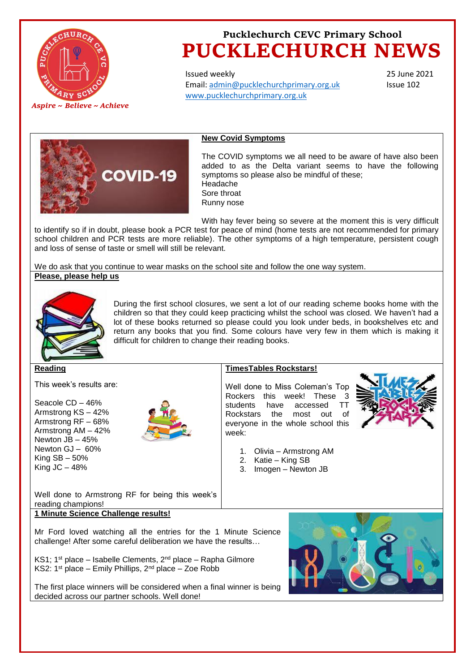

Issued weekly Email: [admin@pucklechurchprimary.org.uk](mailto:admin@pucklechurchprimary.org.uk) [www.pucklechurchprimary.org.uk](http://www.pucklechurchprimary.org.uk/)

25 June 2021 Issue 102



#### **New Covid Symptoms**

The COVID symptoms we all need to be aware of have also been added to as the Delta variant seems to have the following symptoms so please also be mindful of these; Headache Sore throat Runny nose

With hay fever being so severe at the moment this is very difficult to identify so if in doubt, please book a PCR test for peace of mind (home tests are not recommended for primary school children and PCR tests are more reliable). The other symptoms of a high temperature, persistent cough and loss of sense of taste or smell will still be relevant.

We do ask that you continue to wear masks on the school site and follow the one way system. **Please, please help us**



During the first school closures, we sent a lot of our reading scheme books home with the children so that they could keep practicing whilst the school was closed. We haven't had a lot of these books returned so please could you look under beds, in bookshelves etc and return any books that you find. Some colours have very few in them which is making it difficult for children to change their reading books.

**Reading** 

This week's results are:

Seacole CD – 46% Armstrong KS – 42% Armstrong RF – 68% Armstrong AM – 42% Newton JB – 45% Newton GJ – 60% King  $SB - 50\%$ King  $JC - 48%$ 



#### **TimesTables Rockstars!**

Well done to Miss Coleman's Top Rockers this week! These 3 students have accessed TT Rockstars the most out of everyone in the whole school this week:



- 1. Olivia Armstrong AM
- 2. Katie King SB
- 3. Imogen Newton JB

Well done to Armstrong RF for being this week's reading champions!

#### **1 Minute Science Challenge results!**

Mr Ford loved watching all the entries for the 1 Minute Science challenge! After some careful deliberation we have the results…

KS1; 1<sup>st</sup> place – Isabelle Clements,  $2^{nd}$  place – Rapha Gilmore KS2:  $1^{st}$  place – Emily Phillips,  $2^{nd}$  place – Zoe Robb



The first place winners will be considered when a final winner is being decided across our partner schools. Well done!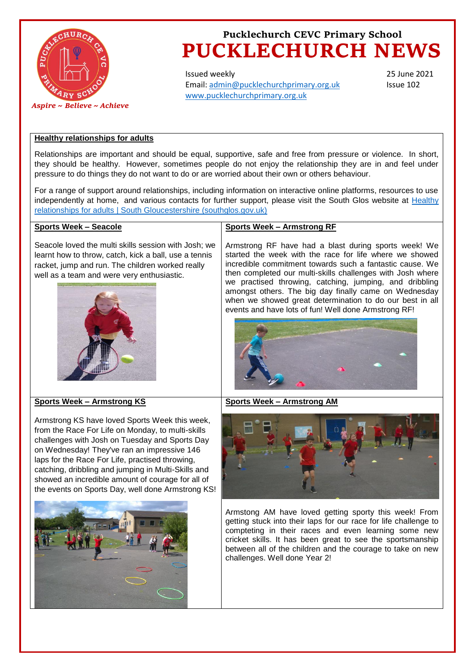

Issued weekly Email: [admin@pucklechurchprimary.org.uk](mailto:admin@pucklechurchprimary.org.uk) [www.pucklechurchprimary.org.uk](http://www.pucklechurchprimary.org.uk/)

25 June 2021 Issue 102

### **Healthy relationships for adults**

Relationships are important and should be equal, supportive, safe and free from pressure or violence. In short, they should be healthy. However, sometimes people do not enjoy the relationship they are in and feel under pressure to do things they do not want to do or are worried about their own or others behaviour.

For a range of support around relationships, including information on interactive online platforms, resources to use independently at home, and various contacts for further support, please visit the South Glos website at [Healthy](https://find-information-for-adults-children-families.southglos.gov.uk/kb5/southglos/directory/advice.page?id=wr1fjc2vdFI&adultchannel=2-10&channel=adult)  relationships for adults | [South Gloucestershire \(southglos.gov.uk\)](https://find-information-for-adults-children-families.southglos.gov.uk/kb5/southglos/directory/advice.page?id=wr1fjc2vdFI&adultchannel=2-10&channel=adult)

#### **Sports Week – Seacole**

Seacole loved the multi skills session with Josh; we learnt how to throw, catch, kick a ball, use a tennis racket, jump and run. The children worked really well as a team and were very enthusiastic.



#### **Sports Week – Armstrong RF**

Armstrong RF have had a blast during sports week! We started the week with the race for life where we showed incredible commitment towards such a fantastic cause. We then completed our multi-skills challenges with Josh where we practised throwing, catching, jumping, and dribbling amongst others. The big day finally came on Wednesday when we showed great determination to do our best in all events and have lots of fun! Well done Armstrong RF!



#### **Sports Week – Armstrong AM**

#### **Sports Week – Armstrong KS**

Armstrong KS have loved Sports Week this week, from the Race For Life on Monday, to multi-skills challenges with Josh on Tuesday and Sports Day on Wednesday! They've ran an impressive 146 laps for the Race For Life, practised throwing, catching, dribbling and jumping in Multi-Skills and showed an incredible amount of courage for all of the events on Sports Day, well done Armstrong KS!





Armstong AM have loved getting sporty this week! From getting stuck into their laps for our race for life challenge to compteting in their races and even learning some new cricket skills. It has been great to see the sportsmanship between all of the children and the courage to take on new challenges. Well done Year 2!